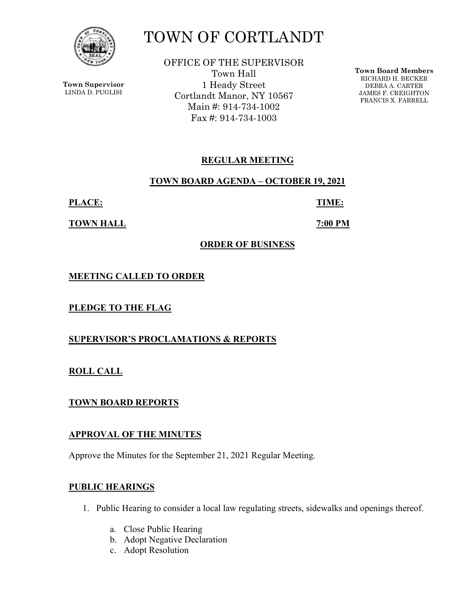

**Town Supervisor** LINDA D. PUGLISI

# TOWN OF CORTLANDT

OFFICE OF THE SUPERVISOR Town Hall 1 Heady Street Cortlandt Manor, NY 10567 Main #: 914-734-1002 Fax #: 914-734-1003

**Town Board Members** RICHARD H. BECKER DEBRA A. CARTER JAMES F. CREIGHTON FRANCIS X. FARRELL

# **REGULAR MEETING**

**TOWN BOARD AGENDA – OCTOBER 19, 2021** 

**PLACE: TIME:** 

**TOWN HALL 7:00 PM** 

## **ORDER OF BUSINESS**

**MEETING CALLED TO ORDER** 

**PLEDGE TO THE FLAG** 

**SUPERVISOR'S PROCLAMATIONS & REPORTS** 

**ROLL CALL** 

**TOWN BOARD REPORTS** 

# **APPROVAL OF THE MINUTES**

Approve the Minutes for the September 21, 2021 Regular Meeting.

# **PUBLIC HEARINGS**

- 1. Public Hearing to consider a local law regulating streets, sidewalks and openings thereof.
	- a. Close Public Hearing
	- b. Adopt Negative Declaration
	- c. Adopt Resolution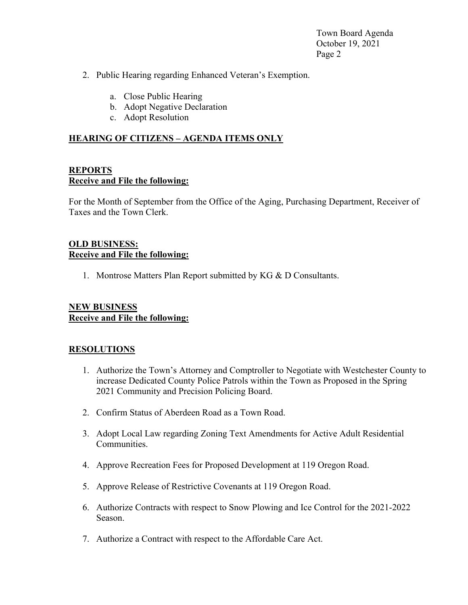Town Board Agenda October 19, 2021 Page 2

- 2. Public Hearing regarding Enhanced Veteran's Exemption.
	- a. Close Public Hearing
	- b. Adopt Negative Declaration
	- c. Adopt Resolution

#### **HEARING OF CITIZENS – AGENDA ITEMS ONLY**

#### **REPORTS Receive and File the following:**

For the Month of September from the Office of the Aging, Purchasing Department, Receiver of Taxes and the Town Clerk.

## **OLD BUSINESS: Receive and File the following:**

1. Montrose Matters Plan Report submitted by KG & D Consultants.

## **NEW BUSINESS Receive and File the following:**

#### **RESOLUTIONS**

- 1. Authorize the Town's Attorney and Comptroller to Negotiate with Westchester County to increase Dedicated County Police Patrols within the Town as Proposed in the Spring 2021 Community and Precision Policing Board.
- 2. Confirm Status of Aberdeen Road as a Town Road.
- 3. Adopt Local Law regarding Zoning Text Amendments for Active Adult Residential Communities.
- 4. Approve Recreation Fees for Proposed Development at 119 Oregon Road.
- 5. Approve Release of Restrictive Covenants at 119 Oregon Road.
- 6. Authorize Contracts with respect to Snow Plowing and Ice Control for the 2021-2022 Season.
- 7. Authorize a Contract with respect to the Affordable Care Act.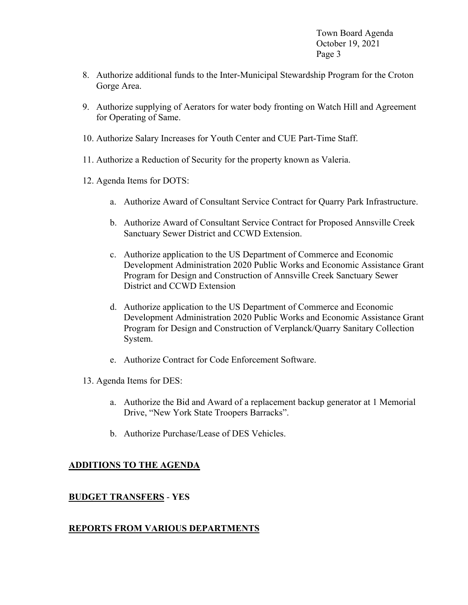Town Board Agenda October 19, 2021 Page 3

- 8. Authorize additional funds to the Inter-Municipal Stewardship Program for the Croton Gorge Area.
- 9. Authorize supplying of Aerators for water body fronting on Watch Hill and Agreement for Operating of Same.
- 10. Authorize Salary Increases for Youth Center and CUE Part-Time Staff.
- 11. Authorize a Reduction of Security for the property known as Valeria.
- 12. Agenda Items for DOTS:
	- a. Authorize Award of Consultant Service Contract for Quarry Park Infrastructure.
	- b. Authorize Award of Consultant Service Contract for Proposed Annsville Creek Sanctuary Sewer District and CCWD Extension.
	- c. Authorize application to the US Department of Commerce and Economic Development Administration 2020 Public Works and Economic Assistance Grant Program for Design and Construction of Annsville Creek Sanctuary Sewer District and CCWD Extension
	- d. Authorize application to the US Department of Commerce and Economic Development Administration 2020 Public Works and Economic Assistance Grant Program for Design and Construction of Verplanck/Quarry Sanitary Collection System.
	- e. Authorize Contract for Code Enforcement Software.
- 13. Agenda Items for DES:
	- a. Authorize the Bid and Award of a replacement backup generator at 1 Memorial Drive, "New York State Troopers Barracks".
	- b. Authorize Purchase/Lease of DES Vehicles.

#### **ADDITIONS TO THE AGENDA**

#### **BUDGET TRANSFERS** - **YES**

#### **REPORTS FROM VARIOUS DEPARTMENTS**